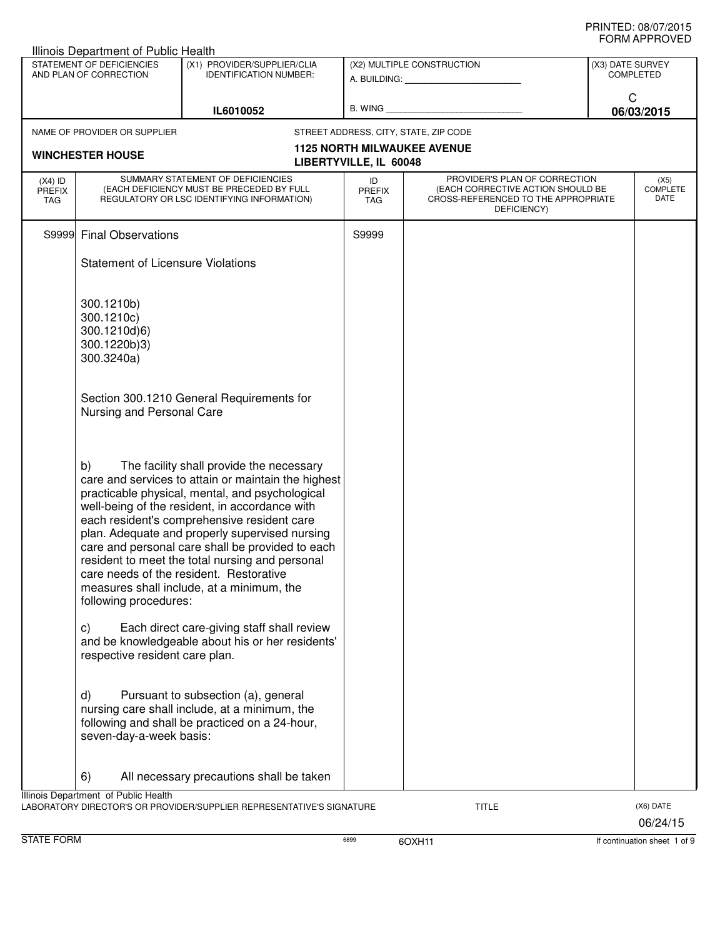|                                          | Illinois Department of Public Health                                   |                                                                                                                                                                                                                                                                                                                                                                                                                                                                                                      |                                   |                                                                                                                          |                                      |                                 |
|------------------------------------------|------------------------------------------------------------------------|------------------------------------------------------------------------------------------------------------------------------------------------------------------------------------------------------------------------------------------------------------------------------------------------------------------------------------------------------------------------------------------------------------------------------------------------------------------------------------------------------|-----------------------------------|--------------------------------------------------------------------------------------------------------------------------|--------------------------------------|---------------------------------|
|                                          | STATEMENT OF DEFICIENCIES<br>AND PLAN OF CORRECTION                    | (X1) PROVIDER/SUPPLIER/CLIA<br><b>IDENTIFICATION NUMBER:</b>                                                                                                                                                                                                                                                                                                                                                                                                                                         |                                   | (X2) MULTIPLE CONSTRUCTION<br>A. BUILDING: A. BUILDING:                                                                  | (X3) DATE SURVEY<br><b>COMPLETED</b> |                                 |
|                                          |                                                                        | IL6010052                                                                                                                                                                                                                                                                                                                                                                                                                                                                                            | B. WING <b>Example 2008</b>       |                                                                                                                          | С<br>06/03/2015                      |                                 |
|                                          | NAME OF PROVIDER OR SUPPLIER                                           |                                                                                                                                                                                                                                                                                                                                                                                                                                                                                                      |                                   | STREET ADDRESS, CITY, STATE, ZIP CODE                                                                                    |                                      |                                 |
|                                          | <b>WINCHESTER HOUSE</b>                                                |                                                                                                                                                                                                                                                                                                                                                                                                                                                                                                      | LIBERTYVILLE, IL 60048            | <b>1125 NORTH MILWAUKEE AVENUE</b>                                                                                       |                                      |                                 |
| $(X4)$ ID<br><b>PREFIX</b><br><b>TAG</b> |                                                                        | SUMMARY STATEMENT OF DEFICIENCIES<br>(EACH DEFICIENCY MUST BE PRECEDED BY FULL<br>REGULATORY OR LSC IDENTIFYING INFORMATION)                                                                                                                                                                                                                                                                                                                                                                         | ID<br><b>PREFIX</b><br><b>TAG</b> | PROVIDER'S PLAN OF CORRECTION<br>(EACH CORRECTIVE ACTION SHOULD BE<br>CROSS-REFERENCED TO THE APPROPRIATE<br>DEFICIENCY) |                                      | (X5)<br><b>COMPLETE</b><br>DATE |
|                                          | S9999 Final Observations                                               |                                                                                                                                                                                                                                                                                                                                                                                                                                                                                                      | S9999                             |                                                                                                                          |                                      |                                 |
|                                          | <b>Statement of Licensure Violations</b>                               |                                                                                                                                                                                                                                                                                                                                                                                                                                                                                                      |                                   |                                                                                                                          |                                      |                                 |
|                                          | 300.1210b)<br>300.1210c)<br>300.1210d)6)<br>300.1220b)3)<br>300.3240a) |                                                                                                                                                                                                                                                                                                                                                                                                                                                                                                      |                                   |                                                                                                                          |                                      |                                 |
|                                          | Nursing and Personal Care                                              | Section 300.1210 General Requirements for                                                                                                                                                                                                                                                                                                                                                                                                                                                            |                                   |                                                                                                                          |                                      |                                 |
|                                          | b)<br>following procedures:                                            | The facility shall provide the necessary<br>care and services to attain or maintain the highest<br>practicable physical, mental, and psychological<br>well-being of the resident, in accordance with<br>each resident's comprehensive resident care<br>plan. Adequate and properly supervised nursing<br>care and personal care shall be provided to each<br>resident to meet the total nursing and personal<br>care needs of the resident. Restorative<br>measures shall include, at a minimum, the |                                   |                                                                                                                          |                                      |                                 |
|                                          | C)<br>respective resident care plan.                                   | Each direct care-giving staff shall review<br>and be knowledgeable about his or her residents'                                                                                                                                                                                                                                                                                                                                                                                                       |                                   |                                                                                                                          |                                      |                                 |
|                                          | $\mathsf{d}$<br>seven-day-a-week basis:                                | Pursuant to subsection (a), general<br>nursing care shall include, at a minimum, the<br>following and shall be practiced on a 24-hour,                                                                                                                                                                                                                                                                                                                                                               |                                   |                                                                                                                          |                                      |                                 |
|                                          | 6)                                                                     | All necessary precautions shall be taken                                                                                                                                                                                                                                                                                                                                                                                                                                                             |                                   |                                                                                                                          |                                      |                                 |
|                                          | Illinois Department of Public Health                                   | LABORATORY DIRECTOR'S OR PROVIDER/SUPPLIER REPRESENTATIVE'S SIGNATURE                                                                                                                                                                                                                                                                                                                                                                                                                                |                                   | <b>TITLE</b>                                                                                                             |                                      | (X6) DATE<br>06/24/15           |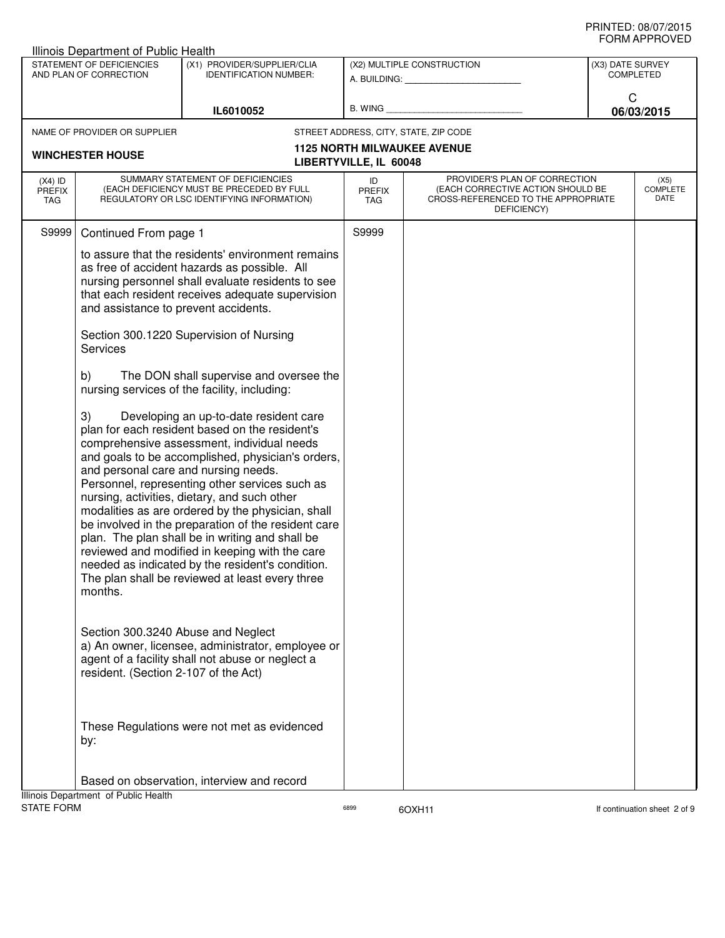|                                   | <b>Illinois Department of Public Health</b>                                                                                                                                                          |                                                                                                                                                                                                                                                                                                                                                                                                                                                                                                                                                                                                                                                                                                                                                                                                                                                                                                                                                                                                                                                                                    |                                   |                                                                                                                          |                  |                                 |
|-----------------------------------|------------------------------------------------------------------------------------------------------------------------------------------------------------------------------------------------------|------------------------------------------------------------------------------------------------------------------------------------------------------------------------------------------------------------------------------------------------------------------------------------------------------------------------------------------------------------------------------------------------------------------------------------------------------------------------------------------------------------------------------------------------------------------------------------------------------------------------------------------------------------------------------------------------------------------------------------------------------------------------------------------------------------------------------------------------------------------------------------------------------------------------------------------------------------------------------------------------------------------------------------------------------------------------------------|-----------------------------------|--------------------------------------------------------------------------------------------------------------------------|------------------|---------------------------------|
|                                   | STATEMENT OF DEFICIENCIES<br>AND PLAN OF CORRECTION                                                                                                                                                  | (X1) PROVIDER/SUPPLIER/CLIA<br><b>IDENTIFICATION NUMBER:</b>                                                                                                                                                                                                                                                                                                                                                                                                                                                                                                                                                                                                                                                                                                                                                                                                                                                                                                                                                                                                                       |                                   | (X2) MULTIPLE CONSTRUCTION<br>A. BUILDING: A. BUILDING:                                                                  | (X3) DATE SURVEY | <b>COMPLETED</b>                |
|                                   |                                                                                                                                                                                                      | IL6010052                                                                                                                                                                                                                                                                                                                                                                                                                                                                                                                                                                                                                                                                                                                                                                                                                                                                                                                                                                                                                                                                          | B. WING                           |                                                                                                                          | C                | 06/03/2015                      |
|                                   | NAME OF PROVIDER OR SUPPLIER                                                                                                                                                                         |                                                                                                                                                                                                                                                                                                                                                                                                                                                                                                                                                                                                                                                                                                                                                                                                                                                                                                                                                                                                                                                                                    |                                   | STREET ADDRESS, CITY, STATE, ZIP CODE                                                                                    |                  |                                 |
|                                   |                                                                                                                                                                                                      |                                                                                                                                                                                                                                                                                                                                                                                                                                                                                                                                                                                                                                                                                                                                                                                                                                                                                                                                                                                                                                                                                    |                                   | <b>1125 NORTH MILWAUKEE AVENUE</b>                                                                                       |                  |                                 |
|                                   | <b>WINCHESTER HOUSE</b>                                                                                                                                                                              |                                                                                                                                                                                                                                                                                                                                                                                                                                                                                                                                                                                                                                                                                                                                                                                                                                                                                                                                                                                                                                                                                    | LIBERTYVILLE, IL 60048            |                                                                                                                          |                  |                                 |
| $(X4)$ ID<br><b>PREFIX</b><br>TAG |                                                                                                                                                                                                      | SUMMARY STATEMENT OF DEFICIENCIES<br>(EACH DEFICIENCY MUST BE PRECEDED BY FULL<br>REGULATORY OR LSC IDENTIFYING INFORMATION)                                                                                                                                                                                                                                                                                                                                                                                                                                                                                                                                                                                                                                                                                                                                                                                                                                                                                                                                                       | ID<br><b>PREFIX</b><br><b>TAG</b> | PROVIDER'S PLAN OF CORRECTION<br>(EACH CORRECTIVE ACTION SHOULD BE<br>CROSS-REFERENCED TO THE APPROPRIATE<br>DEFICIENCY) |                  | (X5)<br><b>COMPLETE</b><br>DATE |
| S9999                             | Continued From page 1                                                                                                                                                                                |                                                                                                                                                                                                                                                                                                                                                                                                                                                                                                                                                                                                                                                                                                                                                                                                                                                                                                                                                                                                                                                                                    | S9999                             |                                                                                                                          |                  |                                 |
|                                   | and assistance to prevent accidents.<br><b>Services</b><br>b)<br>3)<br>and personal care and nursing needs.<br>months.<br>Section 300.3240 Abuse and Neglect<br>resident. (Section 2-107 of the Act) | to assure that the residents' environment remains<br>as free of accident hazards as possible. All<br>nursing personnel shall evaluate residents to see<br>that each resident receives adequate supervision<br>Section 300.1220 Supervision of Nursing<br>The DON shall supervise and oversee the<br>nursing services of the facility, including:<br>Developing an up-to-date resident care<br>plan for each resident based on the resident's<br>comprehensive assessment, individual needs<br>and goals to be accomplished, physician's orders,<br>Personnel, representing other services such as<br>nursing, activities, dietary, and such other<br>modalities as are ordered by the physician, shall<br>be involved in the preparation of the resident care<br>plan. The plan shall be in writing and shall be<br>reviewed and modified in keeping with the care<br>needed as indicated by the resident's condition.<br>The plan shall be reviewed at least every three<br>a) An owner, licensee, administrator, employee or<br>agent of a facility shall not abuse or neglect a |                                   |                                                                                                                          |                  |                                 |
|                                   | by:                                                                                                                                                                                                  | These Regulations were not met as evidenced                                                                                                                                                                                                                                                                                                                                                                                                                                                                                                                                                                                                                                                                                                                                                                                                                                                                                                                                                                                                                                        |                                   |                                                                                                                          |                  |                                 |
|                                   |                                                                                                                                                                                                      | Based on observation, interview and record                                                                                                                                                                                                                                                                                                                                                                                                                                                                                                                                                                                                                                                                                                                                                                                                                                                                                                                                                                                                                                         |                                   |                                                                                                                          |                  |                                 |
| <b>STATE FORM</b>                 | Illinois Department of Public Health                                                                                                                                                                 |                                                                                                                                                                                                                                                                                                                                                                                                                                                                                                                                                                                                                                                                                                                                                                                                                                                                                                                                                                                                                                                                                    | 6899                              | 6OXH11                                                                                                                   |                  | If continuation sheet 2 of 9    |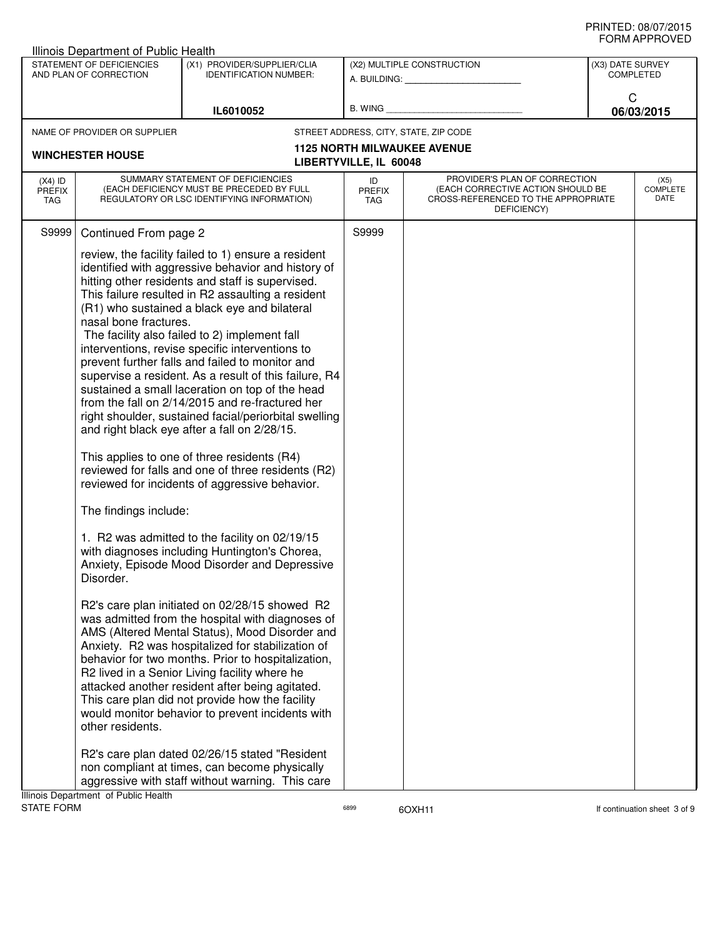| STATEMENT OF DEFICIENCIES<br>(X1) PROVIDER/SUPPLIER/CLIA<br>(X2) MULTIPLE CONSTRUCTION<br>(X3) DATE SURVEY<br>AND PLAN OF CORRECTION<br><b>IDENTIFICATION NUMBER:</b><br>COMPLETED<br>A. BUILDING: A. BUILDING:<br>C<br>B. WING <b>Example 2008</b><br>IL6010052<br>06/03/2015<br>STREET ADDRESS, CITY, STATE, ZIP CODE<br>NAME OF PROVIDER OR SUPPLIER<br><b>1125 NORTH MILWAUKEE AVENUE</b><br><b>WINCHESTER HOUSE</b><br>LIBERTYVILLE, IL 60048<br>SUMMARY STATEMENT OF DEFICIENCIES<br>PROVIDER'S PLAN OF CORRECTION<br>$(X4)$ ID<br>ID<br>(X5)<br>COMPLETE<br>(EACH DEFICIENCY MUST BE PRECEDED BY FULL<br>(EACH CORRECTIVE ACTION SHOULD BE<br><b>PREFIX</b><br><b>PREFIX</b><br>DATE<br>REGULATORY OR LSC IDENTIFYING INFORMATION)<br>CROSS-REFERENCED TO THE APPROPRIATE<br>TAG<br>TAG<br>DEFICIENCY)<br>S9999<br>Continued From page 2<br>S9999<br>review, the facility failed to 1) ensure a resident<br>identified with aggressive behavior and history of<br>hitting other residents and staff is supervised.<br>This failure resulted in R2 assaulting a resident<br>(R1) who sustained a black eye and bilateral<br>nasal bone fractures.<br>The facility also failed to 2) implement fall<br>interventions, revise specific interventions to<br>prevent further falls and failed to monitor and<br>supervise a resident. As a result of this failure, R4<br>sustained a small laceration on top of the head<br>from the fall on 2/14/2015 and re-fractured her<br>right shoulder, sustained facial/periorbital swelling<br>and right black eye after a fall on 2/28/15.<br>This applies to one of three residents (R4)<br>reviewed for falls and one of three residents (R2)<br>reviewed for incidents of aggressive behavior.<br>The findings include:<br>1. R2 was admitted to the facility on 02/19/15<br>with diagnoses including Huntington's Chorea,<br>Anxiety, Episode Mood Disorder and Depressive<br>Disorder.<br>R2's care plan initiated on 02/28/15 showed R2<br>was admitted from the hospital with diagnoses of<br>AMS (Altered Mental Status), Mood Disorder and<br>Anxiety. R2 was hospitalized for stabilization of<br>behavior for two months. Prior to hospitalization,<br>R2 lived in a Senior Living facility where he<br>attacked another resident after being agitated.<br>This care plan did not provide how the facility<br>would monitor behavior to prevent incidents with<br>other residents.<br>R2's care plan dated 02/26/15 stated "Resident"<br>non compliant at times, can become physically<br>aggressive with staff without warning. This care | Illinois Department of Public Health |  |  | ᅴᄖᄞᇊᆝᆝᇅ៴ᄂ |
|---------------------------------------------------------------------------------------------------------------------------------------------------------------------------------------------------------------------------------------------------------------------------------------------------------------------------------------------------------------------------------------------------------------------------------------------------------------------------------------------------------------------------------------------------------------------------------------------------------------------------------------------------------------------------------------------------------------------------------------------------------------------------------------------------------------------------------------------------------------------------------------------------------------------------------------------------------------------------------------------------------------------------------------------------------------------------------------------------------------------------------------------------------------------------------------------------------------------------------------------------------------------------------------------------------------------------------------------------------------------------------------------------------------------------------------------------------------------------------------------------------------------------------------------------------------------------------------------------------------------------------------------------------------------------------------------------------------------------------------------------------------------------------------------------------------------------------------------------------------------------------------------------------------------------------------------------------------------------------------------------------------------------------------------------------------------------------------------------------------------------------------------------------------------------------------------------------------------------------------------------------------------------------------------------------------------------------------------------------------------------------------------------------------------------------------------------------------------------------------------------------------------------------------------------------------------------------------------------|--------------------------------------|--|--|-----------|
|                                                                                                                                                                                                                                                                                                                                                                                                                                                                                                                                                                                                                                                                                                                                                                                                                                                                                                                                                                                                                                                                                                                                                                                                                                                                                                                                                                                                                                                                                                                                                                                                                                                                                                                                                                                                                                                                                                                                                                                                                                                                                                                                                                                                                                                                                                                                                                                                                                                                                                                                                                                                   |                                      |  |  |           |
|                                                                                                                                                                                                                                                                                                                                                                                                                                                                                                                                                                                                                                                                                                                                                                                                                                                                                                                                                                                                                                                                                                                                                                                                                                                                                                                                                                                                                                                                                                                                                                                                                                                                                                                                                                                                                                                                                                                                                                                                                                                                                                                                                                                                                                                                                                                                                                                                                                                                                                                                                                                                   |                                      |  |  |           |
|                                                                                                                                                                                                                                                                                                                                                                                                                                                                                                                                                                                                                                                                                                                                                                                                                                                                                                                                                                                                                                                                                                                                                                                                                                                                                                                                                                                                                                                                                                                                                                                                                                                                                                                                                                                                                                                                                                                                                                                                                                                                                                                                                                                                                                                                                                                                                                                                                                                                                                                                                                                                   |                                      |  |  |           |
|                                                                                                                                                                                                                                                                                                                                                                                                                                                                                                                                                                                                                                                                                                                                                                                                                                                                                                                                                                                                                                                                                                                                                                                                                                                                                                                                                                                                                                                                                                                                                                                                                                                                                                                                                                                                                                                                                                                                                                                                                                                                                                                                                                                                                                                                                                                                                                                                                                                                                                                                                                                                   |                                      |  |  |           |
|                                                                                                                                                                                                                                                                                                                                                                                                                                                                                                                                                                                                                                                                                                                                                                                                                                                                                                                                                                                                                                                                                                                                                                                                                                                                                                                                                                                                                                                                                                                                                                                                                                                                                                                                                                                                                                                                                                                                                                                                                                                                                                                                                                                                                                                                                                                                                                                                                                                                                                                                                                                                   |                                      |  |  |           |
|                                                                                                                                                                                                                                                                                                                                                                                                                                                                                                                                                                                                                                                                                                                                                                                                                                                                                                                                                                                                                                                                                                                                                                                                                                                                                                                                                                                                                                                                                                                                                                                                                                                                                                                                                                                                                                                                                                                                                                                                                                                                                                                                                                                                                                                                                                                                                                                                                                                                                                                                                                                                   |                                      |  |  |           |
| Illinois Department of Public Health                                                                                                                                                                                                                                                                                                                                                                                                                                                                                                                                                                                                                                                                                                                                                                                                                                                                                                                                                                                                                                                                                                                                                                                                                                                                                                                                                                                                                                                                                                                                                                                                                                                                                                                                                                                                                                                                                                                                                                                                                                                                                                                                                                                                                                                                                                                                                                                                                                                                                                                                                              |                                      |  |  |           |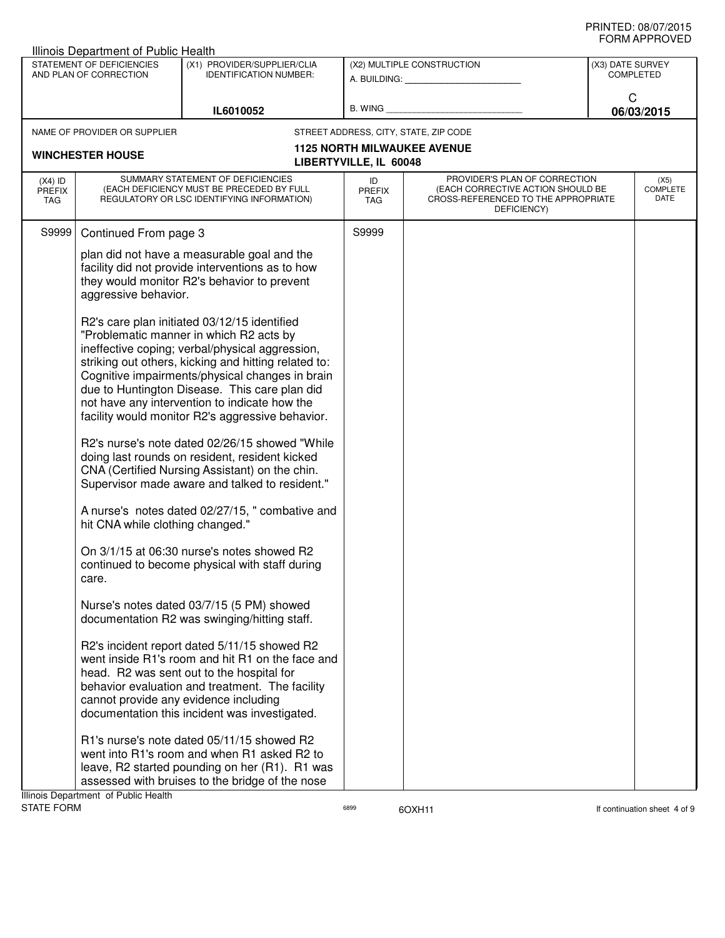|                                                     | Illinois Department of Public Health  |                                                                                                                                                                                                                                                                                                                                                                                                             |                            |                                                                                                                                                                                                                                                             |                                      |                          |
|-----------------------------------------------------|---------------------------------------|-------------------------------------------------------------------------------------------------------------------------------------------------------------------------------------------------------------------------------------------------------------------------------------------------------------------------------------------------------------------------------------------------------------|----------------------------|-------------------------------------------------------------------------------------------------------------------------------------------------------------------------------------------------------------------------------------------------------------|--------------------------------------|--------------------------|
| STATEMENT OF DEFICIENCIES<br>AND PLAN OF CORRECTION |                                       | (X1) PROVIDER/SUPPLIER/CLIA<br><b>IDENTIFICATION NUMBER:</b>                                                                                                                                                                                                                                                                                                                                                |                            | (X2) MULTIPLE CONSTRUCTION<br>A. BUILDING: A AND A STATE OF THE STATE OF THE STATE OF THE STATE OF THE STATE OF THE STATE OF THE STATE OF THE STATE OF THE STATE OF THE STATE OF THE STATE OF THE STATE OF THE STATE OF THE STATE OF THE STATE OF THE STATE | (X3) DATE SURVEY<br><b>COMPLETED</b> |                          |
|                                                     |                                       | IL6010052                                                                                                                                                                                                                                                                                                                                                                                                   |                            | B. WING <b>Example 2008</b>                                                                                                                                                                                                                                 | C                                    | 06/03/2015               |
|                                                     | NAME OF PROVIDER OR SUPPLIER          |                                                                                                                                                                                                                                                                                                                                                                                                             |                            | STREET ADDRESS, CITY, STATE, ZIP CODE                                                                                                                                                                                                                       |                                      |                          |
|                                                     | <b>WINCHESTER HOUSE</b>               |                                                                                                                                                                                                                                                                                                                                                                                                             | LIBERTYVILLE, IL 60048     | <b>1125 NORTH MILWAUKEE AVENUE</b>                                                                                                                                                                                                                          |                                      |                          |
| $(X4)$ ID<br><b>PREFIX</b><br>TAG                   |                                       | SUMMARY STATEMENT OF DEFICIENCIES<br>(EACH DEFICIENCY MUST BE PRECEDED BY FULL<br>REGULATORY OR LSC IDENTIFYING INFORMATION)                                                                                                                                                                                                                                                                                | ID<br><b>PREFIX</b><br>TAG | PROVIDER'S PLAN OF CORRECTION<br>(EACH CORRECTIVE ACTION SHOULD BE<br>CROSS-REFERENCED TO THE APPROPRIATE<br>DEFICIENCY)                                                                                                                                    |                                      | (X5)<br>COMPLETE<br>DATE |
| S9999                                               | Continued From page 3                 |                                                                                                                                                                                                                                                                                                                                                                                                             | S9999                      |                                                                                                                                                                                                                                                             |                                      |                          |
|                                                     | aggressive behavior.                  | plan did not have a measurable goal and the<br>facility did not provide interventions as to how<br>they would monitor R2's behavior to prevent                                                                                                                                                                                                                                                              |                            |                                                                                                                                                                                                                                                             |                                      |                          |
|                                                     |                                       | R2's care plan initiated 03/12/15 identified<br>"Problematic manner in which R2 acts by<br>ineffective coping; verbal/physical aggression,<br>striking out others, kicking and hitting related to:<br>Cognitive impairments/physical changes in brain<br>due to Huntington Disease. This care plan did<br>not have any intervention to indicate how the<br>facility would monitor R2's aggressive behavior. |                            |                                                                                                                                                                                                                                                             |                                      |                          |
|                                                     |                                       | R2's nurse's note dated 02/26/15 showed "While"<br>doing last rounds on resident, resident kicked<br>CNA (Certified Nursing Assistant) on the chin.<br>Supervisor made aware and talked to resident."                                                                                                                                                                                                       |                            |                                                                                                                                                                                                                                                             |                                      |                          |
|                                                     | hit CNA while clothing changed."      | A nurse's notes dated 02/27/15, " combative and                                                                                                                                                                                                                                                                                                                                                             |                            |                                                                                                                                                                                                                                                             |                                      |                          |
|                                                     | care.                                 | On 3/1/15 at 06:30 nurse's notes showed R2<br>continued to become physical with staff during                                                                                                                                                                                                                                                                                                                |                            |                                                                                                                                                                                                                                                             |                                      |                          |
|                                                     |                                       | Nurse's notes dated 03/7/15 (5 PM) showed<br>documentation R2 was swinging/hitting staff.                                                                                                                                                                                                                                                                                                                   |                            |                                                                                                                                                                                                                                                             |                                      |                          |
|                                                     | cannot provide any evidence including | R2's incident report dated 5/11/15 showed R2<br>went inside R1's room and hit R1 on the face and<br>head. R2 was sent out to the hospital for<br>behavior evaluation and treatment. The facility<br>documentation this incident was investigated.                                                                                                                                                           |                            |                                                                                                                                                                                                                                                             |                                      |                          |
|                                                     | Illinois Department of Public Health  | R1's nurse's note dated 05/11/15 showed R2<br>went into R1's room and when R1 asked R2 to<br>leave, R2 started pounding on her (R1). R1 was<br>assessed with bruises to the bridge of the nose                                                                                                                                                                                                              |                            |                                                                                                                                                                                                                                                             |                                      |                          |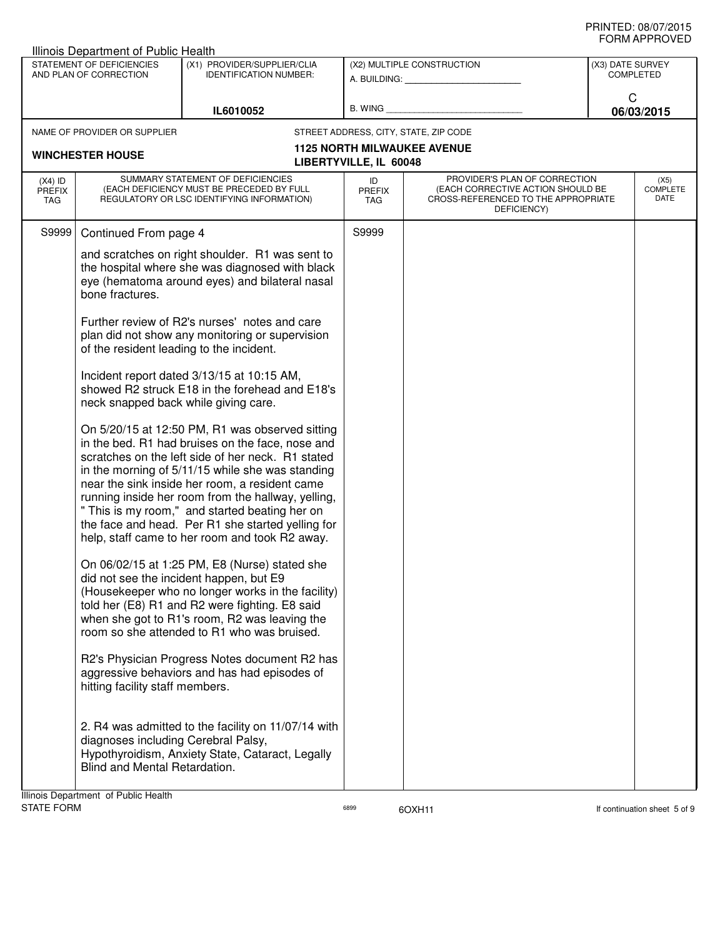| Illinois Department of Public Health |                                                                                                                     |                                                                                                                                                                                                                                                                                                                                                                                                                                                                               |                                   |                                                                                                                          |                                      | ◡੶┉灬┌┅ ・・・∪ ▼ 느◡         |
|--------------------------------------|---------------------------------------------------------------------------------------------------------------------|-------------------------------------------------------------------------------------------------------------------------------------------------------------------------------------------------------------------------------------------------------------------------------------------------------------------------------------------------------------------------------------------------------------------------------------------------------------------------------|-----------------------------------|--------------------------------------------------------------------------------------------------------------------------|--------------------------------------|--------------------------|
|                                      | STATEMENT OF DEFICIENCIES<br>(X1) PROVIDER/SUPPLIER/CLIA<br>AND PLAN OF CORRECTION<br><b>IDENTIFICATION NUMBER:</b> |                                                                                                                                                                                                                                                                                                                                                                                                                                                                               |                                   | (X2) MULTIPLE CONSTRUCTION                                                                                               | (X3) DATE SURVEY<br><b>COMPLETED</b> |                          |
|                                      |                                                                                                                     | IL6010052                                                                                                                                                                                                                                                                                                                                                                                                                                                                     |                                   |                                                                                                                          | C                                    | 06/03/2015               |
|                                      | NAME OF PROVIDER OR SUPPLIER                                                                                        |                                                                                                                                                                                                                                                                                                                                                                                                                                                                               |                                   | STREET ADDRESS, CITY, STATE, ZIP CODE                                                                                    |                                      |                          |
|                                      | <b>WINCHESTER HOUSE</b>                                                                                             |                                                                                                                                                                                                                                                                                                                                                                                                                                                                               | LIBERTYVILLE, IL 60048            | <b>1125 NORTH MILWAUKEE AVENUE</b>                                                                                       |                                      |                          |
| $(X4)$ ID<br><b>PREFIX</b><br>TAG    |                                                                                                                     | SUMMARY STATEMENT OF DEFICIENCIES<br>(EACH DEFICIENCY MUST BE PRECEDED BY FULL<br>REGULATORY OR LSC IDENTIFYING INFORMATION)                                                                                                                                                                                                                                                                                                                                                  | ID<br><b>PREFIX</b><br><b>TAG</b> | PROVIDER'S PLAN OF CORRECTION<br>(EACH CORRECTIVE ACTION SHOULD BE<br>CROSS-REFERENCED TO THE APPROPRIATE<br>DEFICIENCY) |                                      | (X5)<br>COMPLETE<br>DATE |
| S9999                                | Continued From page 4                                                                                               |                                                                                                                                                                                                                                                                                                                                                                                                                                                                               | S9999                             |                                                                                                                          |                                      |                          |
|                                      | bone fractures.                                                                                                     | and scratches on right shoulder. R1 was sent to<br>the hospital where she was diagnosed with black<br>eye (hematoma around eyes) and bilateral nasal                                                                                                                                                                                                                                                                                                                          |                                   |                                                                                                                          |                                      |                          |
|                                      | of the resident leading to the incident.                                                                            | Further review of R2's nurses' notes and care<br>plan did not show any monitoring or supervision                                                                                                                                                                                                                                                                                                                                                                              |                                   |                                                                                                                          |                                      |                          |
|                                      | neck snapped back while giving care.                                                                                | Incident report dated 3/13/15 at 10:15 AM,<br>showed R2 struck E18 in the forehead and E18's                                                                                                                                                                                                                                                                                                                                                                                  |                                   |                                                                                                                          |                                      |                          |
|                                      |                                                                                                                     | On 5/20/15 at 12:50 PM, R1 was observed sitting<br>in the bed. R1 had bruises on the face, nose and<br>scratches on the left side of her neck. R1 stated<br>in the morning of 5/11/15 while she was standing<br>near the sink inside her room, a resident came<br>running inside her room from the hallway, yelling,<br>" This is my room," and started beating her on<br>the face and head. Per R1 she started yelling for<br>help, staff came to her room and took R2 away. |                                   |                                                                                                                          |                                      |                          |
|                                      |                                                                                                                     | On 06/02/15 at 1:25 PM, E8 (Nurse) stated she<br>did not see the incident happen, but E9<br>(Housekeeper who no longer works in the facility)<br>told her (E8) R1 and R2 were fighting. E8 said<br>when she got to R1's room, R2 was leaving the<br>room so she attended to R1 who was bruised.                                                                                                                                                                               |                                   |                                                                                                                          |                                      |                          |
|                                      | hitting facility staff members.                                                                                     | R2's Physician Progress Notes document R2 has<br>aggressive behaviors and has had episodes of                                                                                                                                                                                                                                                                                                                                                                                 |                                   |                                                                                                                          |                                      |                          |
|                                      | diagnoses including Cerebral Palsy,<br>Blind and Mental Retardation.                                                | 2. R4 was admitted to the facility on 11/07/14 with<br>Hypothyroidism, Anxiety State, Cataract, Legally                                                                                                                                                                                                                                                                                                                                                                       |                                   |                                                                                                                          |                                      |                          |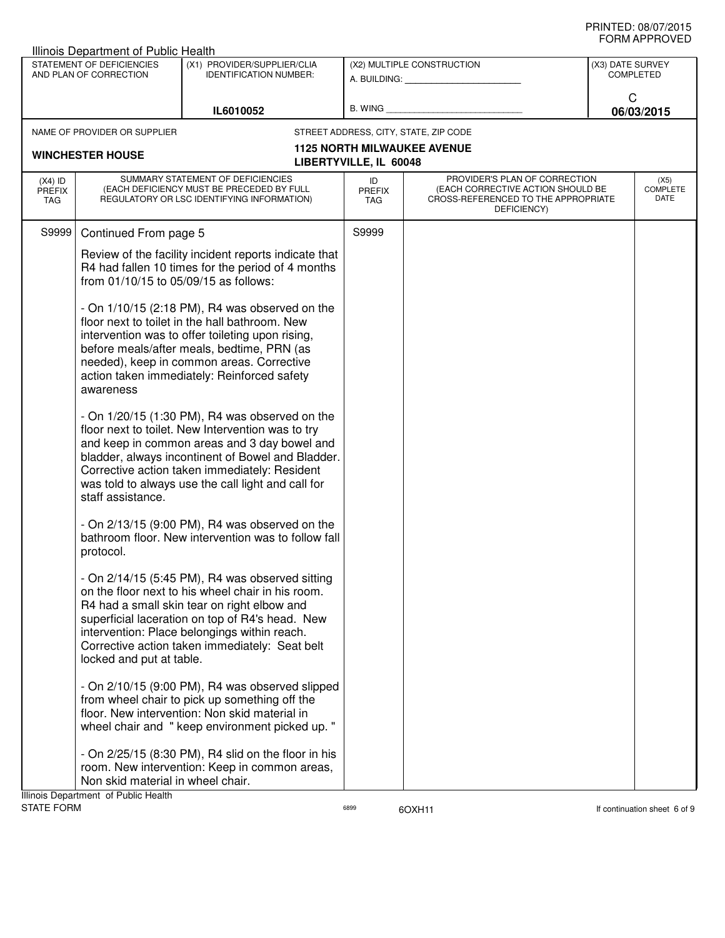| STATEMENT OF DEFICIENCIES<br>AND PLAN OF CORRECTION |                                                                           | Illinois Department of Public Health<br>(X1) PROVIDER/SUPPLIER/CLIA<br><b>IDENTIFICATION NUMBER:</b>                                                                                                                                                                                                              |                        | (X2) MULTIPLE CONSTRUCTION<br>A. BUILDING: A. BUILDING:                                                                  | (X3) DATE SURVEY<br><b>COMPLETED</b>   |
|-----------------------------------------------------|---------------------------------------------------------------------------|-------------------------------------------------------------------------------------------------------------------------------------------------------------------------------------------------------------------------------------------------------------------------------------------------------------------|------------------------|--------------------------------------------------------------------------------------------------------------------------|----------------------------------------|
|                                                     |                                                                           |                                                                                                                                                                                                                                                                                                                   |                        | B. WING <b>Example 2008</b>                                                                                              | C                                      |
|                                                     | IL6010052<br>NAME OF PROVIDER OR SUPPLIER                                 |                                                                                                                                                                                                                                                                                                                   |                        | STREET ADDRESS, CITY, STATE, ZIP CODE                                                                                    | 06/03/2015                             |
|                                                     |                                                                           |                                                                                                                                                                                                                                                                                                                   |                        | <b>1125 NORTH MILWAUKEE AVENUE</b>                                                                                       |                                        |
|                                                     | <b>WINCHESTER HOUSE</b>                                                   |                                                                                                                                                                                                                                                                                                                   | LIBERTYVILLE, IL 60048 |                                                                                                                          |                                        |
| $(X4)$ ID<br><b>PREFIX</b><br><b>TAG</b>            |                                                                           | SUMMARY STATEMENT OF DEFICIENCIES<br>(EACH DEFICIENCY MUST BE PRECEDED BY FULL<br>REGULATORY OR LSC IDENTIFYING INFORMATION)                                                                                                                                                                                      | ID<br>PREFIX<br>TAG    | PROVIDER'S PLAN OF CORRECTION<br>(EACH CORRECTIVE ACTION SHOULD BE<br>CROSS-REFERENCED TO THE APPROPRIATE<br>DEFICIENCY) | (X5)<br><b>COMPLETE</b><br><b>DATE</b> |
| S9999                                               | Continued From page 5                                                     |                                                                                                                                                                                                                                                                                                                   | S9999                  |                                                                                                                          |                                        |
|                                                     |                                                                           | Review of the facility incident reports indicate that<br>R4 had fallen 10 times for the period of 4 months<br>from 01/10/15 to 05/09/15 as follows:                                                                                                                                                               |                        |                                                                                                                          |                                        |
|                                                     | awareness                                                                 | - On $1/10/15$ (2:18 PM), R4 was observed on the<br>floor next to toilet in the hall bathroom. New<br>intervention was to offer toileting upon rising,<br>before meals/after meals, bedtime, PRN (as<br>needed), keep in common areas. Corrective<br>action taken immediately: Reinforced safety                  |                        |                                                                                                                          |                                        |
|                                                     | staff assistance.                                                         | - On $1/20/15$ (1:30 PM), R4 was observed on the<br>floor next to toilet. New Intervention was to try<br>and keep in common areas and 3 day bowel and<br>bladder, always incontinent of Bowel and Bladder.<br>Corrective action taken immediately: Resident<br>was told to always use the call light and call for |                        |                                                                                                                          |                                        |
|                                                     | protocol.                                                                 | - On $2/13/15$ (9:00 PM), R4 was observed on the<br>bathroom floor. New intervention was to follow fall                                                                                                                                                                                                           |                        |                                                                                                                          |                                        |
|                                                     | locked and put at table.                                                  | - On $2/14/15$ (5:45 PM), R4 was observed sitting<br>on the floor next to his wheel chair in his room.<br>R4 had a small skin tear on right elbow and<br>superficial laceration on top of R4's head. New<br>intervention: Place belongings within reach.<br>Corrective action taken immediately: Seat belt        |                        |                                                                                                                          |                                        |
|                                                     |                                                                           | - On $2/10/15$ (9:00 PM), R4 was observed slipped<br>from wheel chair to pick up something off the<br>floor. New intervention: Non skid material in<br>wheel chair and "keep environment picked up."                                                                                                              |                        |                                                                                                                          |                                        |
|                                                     | Non skid material in wheel chair.<br>Illinois Department of Public Health | - On 2/25/15 (8:30 PM), R4 slid on the floor in his<br>room. New intervention: Keep in common areas,                                                                                                                                                                                                              |                        |                                                                                                                          |                                        |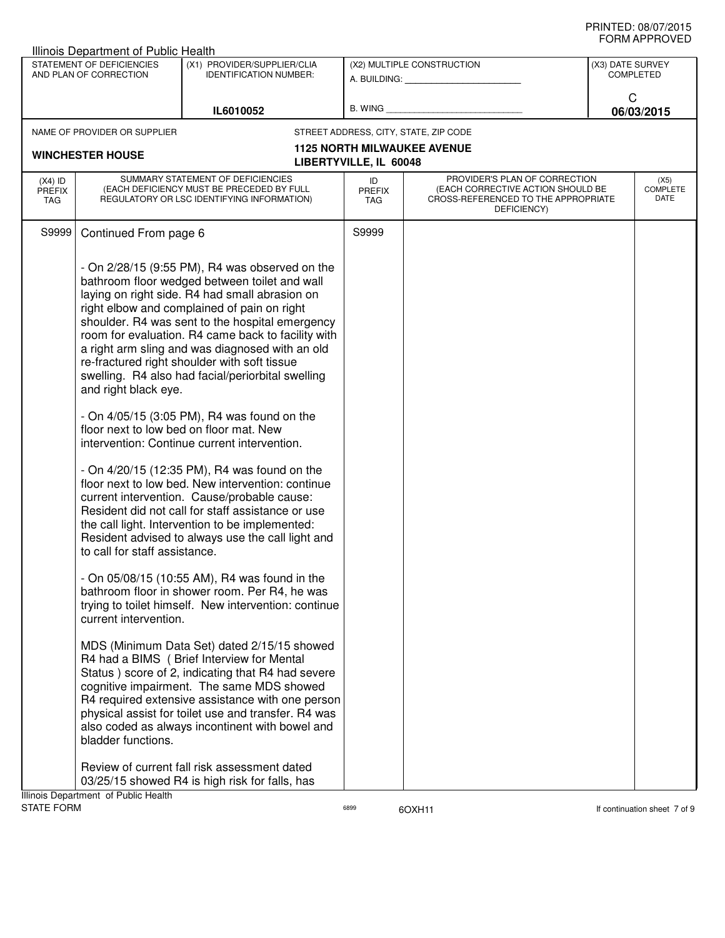| Illinois Department of Public Health |                                                                                |                                                                                                                                                                                                                                                                                                                                                                                                                                                                                                                                                                                                                                                                                                                                                                                                                                                                                                                                                                                                                                                                                                                                                                                                                                                                                                                                                                                                                                                                                                                                                                                                                                                                                                                                                                    |    |                                                                                                                                                                    |                                                                                                                                              |
|--------------------------------------|--------------------------------------------------------------------------------|--------------------------------------------------------------------------------------------------------------------------------------------------------------------------------------------------------------------------------------------------------------------------------------------------------------------------------------------------------------------------------------------------------------------------------------------------------------------------------------------------------------------------------------------------------------------------------------------------------------------------------------------------------------------------------------------------------------------------------------------------------------------------------------------------------------------------------------------------------------------------------------------------------------------------------------------------------------------------------------------------------------------------------------------------------------------------------------------------------------------------------------------------------------------------------------------------------------------------------------------------------------------------------------------------------------------------------------------------------------------------------------------------------------------------------------------------------------------------------------------------------------------------------------------------------------------------------------------------------------------------------------------------------------------------------------------------------------------------------------------------------------------|----|--------------------------------------------------------------------------------------------------------------------------------------------------------------------|----------------------------------------------------------------------------------------------------------------------------------------------|
|                                      | <b>IDENTIFICATION NUMBER:</b>                                                  |                                                                                                                                                                                                                                                                                                                                                                                                                                                                                                                                                                                                                                                                                                                                                                                                                                                                                                                                                                                                                                                                                                                                                                                                                                                                                                                                                                                                                                                                                                                                                                                                                                                                                                                                                                    |    |                                                                                                                                                                    | <b>COMPLETED</b>                                                                                                                             |
|                                      | IL6010052                                                                      |                                                                                                                                                                                                                                                                                                                                                                                                                                                                                                                                                                                                                                                                                                                                                                                                                                                                                                                                                                                                                                                                                                                                                                                                                                                                                                                                                                                                                                                                                                                                                                                                                                                                                                                                                                    |    |                                                                                                                                                                    | C<br>06/03/2015                                                                                                                              |
|                                      |                                                                                |                                                                                                                                                                                                                                                                                                                                                                                                                                                                                                                                                                                                                                                                                                                                                                                                                                                                                                                                                                                                                                                                                                                                                                                                                                                                                                                                                                                                                                                                                                                                                                                                                                                                                                                                                                    |    |                                                                                                                                                                    |                                                                                                                                              |
|                                      |                                                                                |                                                                                                                                                                                                                                                                                                                                                                                                                                                                                                                                                                                                                                                                                                                                                                                                                                                                                                                                                                                                                                                                                                                                                                                                                                                                                                                                                                                                                                                                                                                                                                                                                                                                                                                                                                    |    |                                                                                                                                                                    |                                                                                                                                              |
|                                      |                                                                                |                                                                                                                                                                                                                                                                                                                                                                                                                                                                                                                                                                                                                                                                                                                                                                                                                                                                                                                                                                                                                                                                                                                                                                                                                                                                                                                                                                                                                                                                                                                                                                                                                                                                                                                                                                    |    |                                                                                                                                                                    |                                                                                                                                              |
|                                      |                                                                                | <b>PREFIX</b><br>TAG                                                                                                                                                                                                                                                                                                                                                                                                                                                                                                                                                                                                                                                                                                                                                                                                                                                                                                                                                                                                                                                                                                                                                                                                                                                                                                                                                                                                                                                                                                                                                                                                                                                                                                                                               |    |                                                                                                                                                                    | (X5)<br><b>COMPLETE</b><br>DATE                                                                                                              |
|                                      |                                                                                | S9999                                                                                                                                                                                                                                                                                                                                                                                                                                                                                                                                                                                                                                                                                                                                                                                                                                                                                                                                                                                                                                                                                                                                                                                                                                                                                                                                                                                                                                                                                                                                                                                                                                                                                                                                                              |    |                                                                                                                                                                    |                                                                                                                                              |
|                                      |                                                                                |                                                                                                                                                                                                                                                                                                                                                                                                                                                                                                                                                                                                                                                                                                                                                                                                                                                                                                                                                                                                                                                                                                                                                                                                                                                                                                                                                                                                                                                                                                                                                                                                                                                                                                                                                                    |    |                                                                                                                                                                    |                                                                                                                                              |
|                                      | STATEMENT OF DEFICIENCIES<br>AND PLAN OF CORRECTION<br><b>WINCHESTER HOUSE</b> | (X1) PROVIDER/SUPPLIER/CLIA<br>NAME OF PROVIDER OR SUPPLIER<br>SUMMARY STATEMENT OF DEFICIENCIES<br>(EACH DEFICIENCY MUST BE PRECEDED BY FULL<br>REGULATORY OR LSC IDENTIFYING INFORMATION)<br>Continued From page 6<br>- On $2/28/15$ (9:55 PM), R4 was observed on the<br>bathroom floor wedged between toilet and wall<br>laying on right side. R4 had small abrasion on<br>right elbow and complained of pain on right<br>shoulder. R4 was sent to the hospital emergency<br>room for evaluation. R4 came back to facility with<br>a right arm sling and was diagnosed with an old<br>re-fractured right shoulder with soft tissue<br>swelling. R4 also had facial/periorbital swelling<br>and right black eye.<br>- On $4/05/15$ (3:05 PM), R4 was found on the<br>floor next to low bed on floor mat. New<br>intervention: Continue current intervention.<br>- On 4/20/15 (12:35 PM), R4 was found on the<br>floor next to low bed. New intervention: continue<br>current intervention. Cause/probable cause:<br>Resident did not call for staff assistance or use<br>the call light. Intervention to be implemented:<br>Resident advised to always use the call light and<br>to call for staff assistance.<br>- On 05/08/15 (10:55 AM), R4 was found in the<br>bathroom floor in shower room. Per R4, he was<br>trying to toilet himself. New intervention: continue<br>current intervention.<br>MDS (Minimum Data Set) dated 2/15/15 showed<br>R4 had a BIMS ( Brief Interview for Mental<br>Status ) score of 2, indicating that R4 had severe<br>cognitive impairment. The same MDS showed<br>R4 required extensive assistance with one person<br>physical assist for toilet use and transfer. R4 was<br>also coded as always incontinent with bowel and | ID | (X2) MULTIPLE CONSTRUCTION<br>B. WING <b>Example 2008</b><br>STREET ADDRESS, CITY, STATE, ZIP CODE<br><b>1125 NORTH MILWAUKEE AVENUE</b><br>LIBERTYVILLE, IL 60048 | (X3) DATE SURVEY<br>PROVIDER'S PLAN OF CORRECTION<br>(EACH CORRECTIVE ACTION SHOULD BE<br>CROSS-REFERENCED TO THE APPROPRIATE<br>DEFICIENCY) |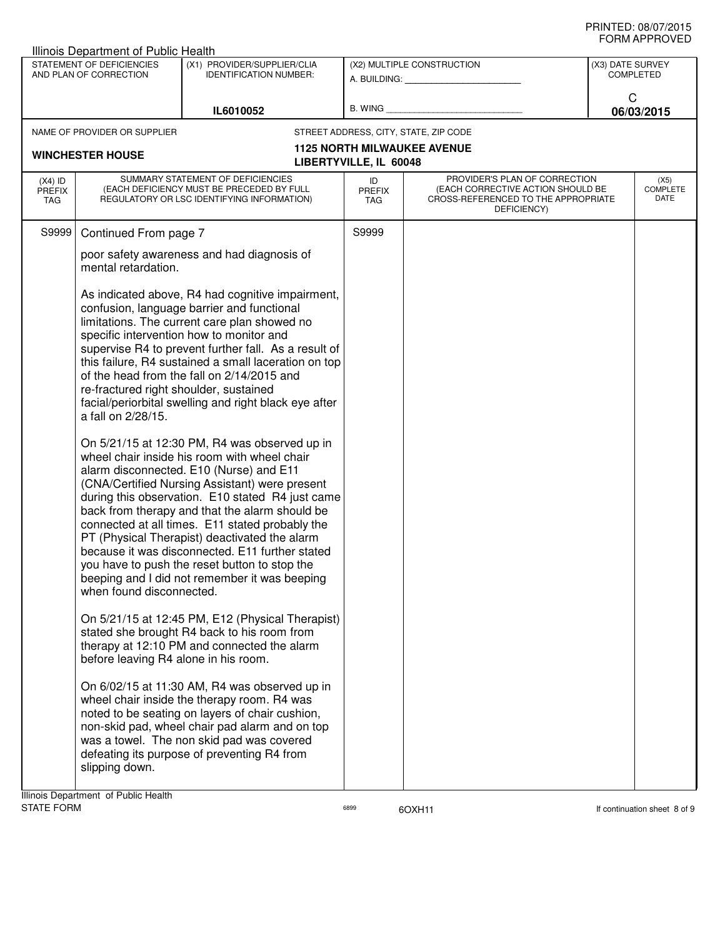|                                   | Illinois Department of Public Health                                                                                |                                                                                                                                                                                                                                                                                                                                                                                                                                                                                                                                                           |                                   |                                                                                                                          |                                      |                                 |  |
|-----------------------------------|---------------------------------------------------------------------------------------------------------------------|-----------------------------------------------------------------------------------------------------------------------------------------------------------------------------------------------------------------------------------------------------------------------------------------------------------------------------------------------------------------------------------------------------------------------------------------------------------------------------------------------------------------------------------------------------------|-----------------------------------|--------------------------------------------------------------------------------------------------------------------------|--------------------------------------|---------------------------------|--|
|                                   | STATEMENT OF DEFICIENCIES<br>(X1) PROVIDER/SUPPLIER/CLIA<br>AND PLAN OF CORRECTION<br><b>IDENTIFICATION NUMBER:</b> |                                                                                                                                                                                                                                                                                                                                                                                                                                                                                                                                                           |                                   | (X2) MULTIPLE CONSTRUCTION<br>A. BUILDING: A. BUILDING:                                                                  | (X3) DATE SURVEY<br><b>COMPLETED</b> |                                 |  |
|                                   | IL6010052                                                                                                           |                                                                                                                                                                                                                                                                                                                                                                                                                                                                                                                                                           | B. WING                           |                                                                                                                          | C                                    | 06/03/2015                      |  |
|                                   | NAME OF PROVIDER OR SUPPLIER                                                                                        |                                                                                                                                                                                                                                                                                                                                                                                                                                                                                                                                                           |                                   | STREET ADDRESS, CITY, STATE, ZIP CODE                                                                                    |                                      |                                 |  |
|                                   | <b>WINCHESTER HOUSE</b>                                                                                             |                                                                                                                                                                                                                                                                                                                                                                                                                                                                                                                                                           |                                   | <b>1125 NORTH MILWAUKEE AVENUE</b>                                                                                       |                                      |                                 |  |
|                                   |                                                                                                                     |                                                                                                                                                                                                                                                                                                                                                                                                                                                                                                                                                           | LIBERTYVILLE, IL 60048            |                                                                                                                          |                                      |                                 |  |
| $(X4)$ ID<br><b>PREFIX</b><br>TAG |                                                                                                                     | SUMMARY STATEMENT OF DEFICIENCIES<br>(EACH DEFICIENCY MUST BE PRECEDED BY FULL<br>REGULATORY OR LSC IDENTIFYING INFORMATION)                                                                                                                                                                                                                                                                                                                                                                                                                              | ID<br><b>PREFIX</b><br><b>TAG</b> | PROVIDER'S PLAN OF CORRECTION<br>(EACH CORRECTIVE ACTION SHOULD BE<br>CROSS-REFERENCED TO THE APPROPRIATE<br>DEFICIENCY) |                                      | (X5)<br><b>COMPLETE</b><br>DATE |  |
| S9999                             | Continued From page 7                                                                                               |                                                                                                                                                                                                                                                                                                                                                                                                                                                                                                                                                           | S9999                             |                                                                                                                          |                                      |                                 |  |
|                                   | mental retardation.                                                                                                 | poor safety awareness and had diagnosis of                                                                                                                                                                                                                                                                                                                                                                                                                                                                                                                |                                   |                                                                                                                          |                                      |                                 |  |
|                                   | re-fractured right shoulder, sustained<br>a fall on 2/28/15.                                                        | As indicated above, R4 had cognitive impairment,<br>confusion, language barrier and functional<br>limitations. The current care plan showed no<br>specific intervention how to monitor and<br>supervise R4 to prevent further fall. As a result of<br>this failure, R4 sustained a small laceration on top<br>of the head from the fall on 2/14/2015 and<br>facial/periorbital swelling and right black eye after                                                                                                                                         |                                   |                                                                                                                          |                                      |                                 |  |
|                                   | when found disconnected.                                                                                            | On 5/21/15 at 12:30 PM, R4 was observed up in<br>wheel chair inside his room with wheel chair<br>alarm disconnected. E10 (Nurse) and E11<br>(CNA/Certified Nursing Assistant) were present<br>during this observation. E10 stated R4 just came<br>back from therapy and that the alarm should be<br>connected at all times. E11 stated probably the<br>PT (Physical Therapist) deactivated the alarm<br>because it was disconnected. E11 further stated<br>you have to push the reset button to stop the<br>beeping and I did not remember it was beeping |                                   |                                                                                                                          |                                      |                                 |  |
|                                   | before leaving R4 alone in his room.                                                                                | On 5/21/15 at 12:45 PM, E12 (Physical Therapist)<br>stated she brought R4 back to his room from<br>therapy at 12:10 PM and connected the alarm                                                                                                                                                                                                                                                                                                                                                                                                            |                                   |                                                                                                                          |                                      |                                 |  |
|                                   | slipping down.                                                                                                      | On 6/02/15 at 11:30 AM, R4 was observed up in<br>wheel chair inside the therapy room. R4 was<br>noted to be seating on layers of chair cushion,<br>non-skid pad, wheel chair pad alarm and on top<br>was a towel. The non skid pad was covered<br>defeating its purpose of preventing R4 from                                                                                                                                                                                                                                                             |                                   |                                                                                                                          |                                      |                                 |  |